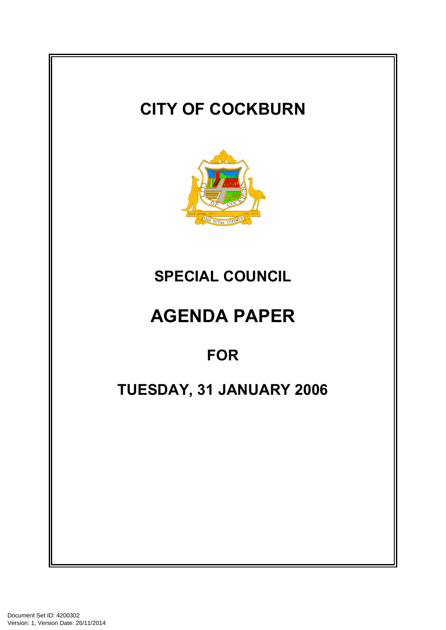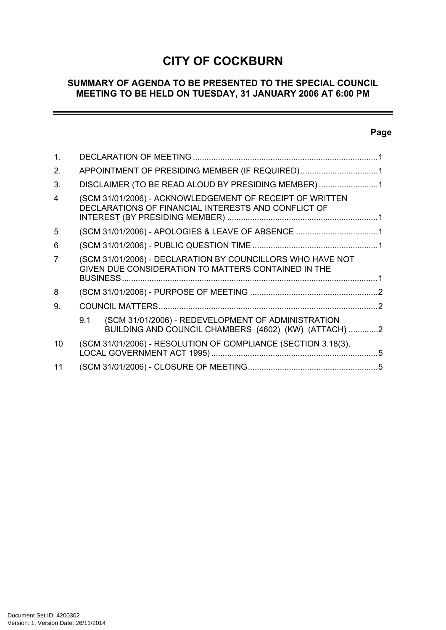# **CITY OF COCKBURN**

# **SUMMARY OF AGENDA TO BE PRESENTED TO THE SPECIAL COUNCIL MEETING TO BE HELD ON TUESDAY, 31 JANUARY 2006 AT 6:00 PM**

# **Page**

 $\equiv$ 

| $\mathbf 1$ .           |                                                    |                                                                                                                   |  |
|-------------------------|----------------------------------------------------|-------------------------------------------------------------------------------------------------------------------|--|
| 2.                      | APPOINTMENT OF PRESIDING MEMBER (IF REQUIRED)1     |                                                                                                                   |  |
| 3.                      | DISCLAIMER (TO BE READ ALOUD BY PRESIDING MEMBER)1 |                                                                                                                   |  |
| $\overline{\mathbf{4}}$ |                                                    | (SCM 31/01/2006) - ACKNOWLEDGEMENT OF RECEIPT OF WRITTEN<br>DECLARATIONS OF FINANCIAL INTERESTS AND CONFLICT OF   |  |
| 5                       |                                                    | (SCM 31/01/2006) - APOLOGIES & LEAVE OF ABSENCE 1                                                                 |  |
| 6                       |                                                    |                                                                                                                   |  |
| 7                       |                                                    | (SCM 31/01/2006) - DECLARATION BY COUNCILLORS WHO HAVE NOT<br>GIVEN DUE CONSIDERATION TO MATTERS CONTAINED IN THE |  |
| 8                       |                                                    |                                                                                                                   |  |
| 9.                      |                                                    |                                                                                                                   |  |
|                         | 9.1                                                | (SCM 31/01/2006) - REDEVELOPMENT OF ADMINISTRATION<br>BUILDING AND COUNCIL CHAMBERS (4602) (KW) (ATTACH) 2        |  |
| 10                      |                                                    | (SCM 31/01/2006) - RESOLUTION OF COMPLIANCE (SECTION 3.18(3),                                                     |  |
| 11                      |                                                    |                                                                                                                   |  |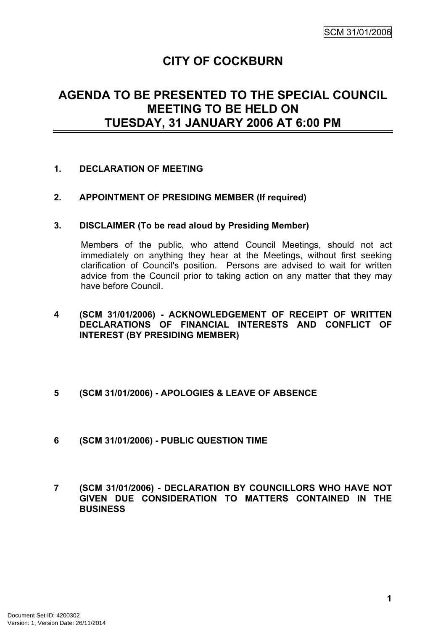# **CITY OF COCKBURN**

# **AGENDA TO BE PRESENTED TO THE SPECIAL COUNCIL MEETING TO BE HELD ON TUESDAY, 31 JANUARY 2006 AT 6:00 PM**

### <span id="page-2-0"></span>**1. DECLARATION OF MEETING**

### <span id="page-2-1"></span>**2. APPOINTMENT OF PRESIDING MEMBER (If required)**

#### <span id="page-2-2"></span>**3. DISCLAIMER (To be read aloud by Presiding Member)**

Members of the public, who attend Council Meetings, should not act immediately on anything they hear at the Meetings, without first seeking clarification of Council's position. Persons are advised to wait for written advice from the Council prior to taking action on any matter that they may have before Council.

### <span id="page-2-3"></span>**4 (SCM 31/01/2006) - ACKNOWLEDGEMENT OF RECEIPT OF WRITTEN DECLARATIONS OF FINANCIAL INTERESTS AND CONFLICT OF INTEREST (BY PRESIDING MEMBER)**

- <span id="page-2-4"></span>**5 (SCM 31/01/2006) - APOLOGIES & LEAVE OF ABSENCE**
- <span id="page-2-5"></span>**6 (SCM 31/01/2006) - PUBLIC QUESTION TIME**
- <span id="page-2-6"></span>**7 (SCM 31/01/2006) - DECLARATION BY COUNCILLORS WHO HAVE NOT GIVEN DUE CONSIDERATION TO MATTERS CONTAINED IN THE BUSINESS**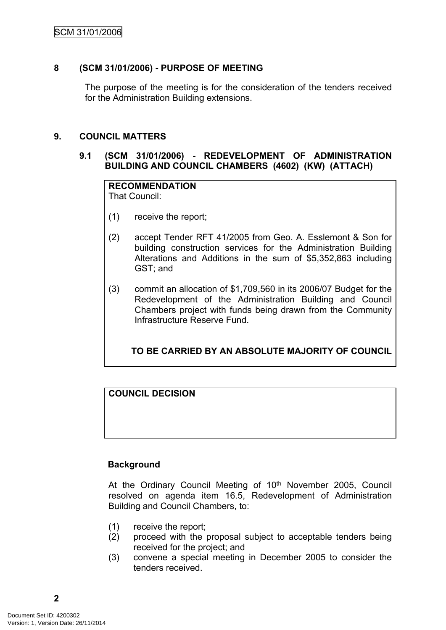# SCM 31/01/2006

# <span id="page-3-0"></span>**8 (SCM 31/01/2006) - PURPOSE OF MEETING**

The purpose of the meeting is for the consideration of the tenders received for the Administration Building extensions.

### <span id="page-3-1"></span>**9. COUNCIL MATTERS**

### <span id="page-3-2"></span>**9.1 (SCM 31/01/2006) - REDEVELOPMENT OF ADMINISTRATION BUILDING AND COUNCIL CHAMBERS (4602) (KW) (ATTACH)**

#### **RECOMMENDATION** That Council:

- (1) receive the report;
- (2) accept Tender RFT 41/2005 from Geo. A. Esslemont & Son for building construction services for the Administration Building Alterations and Additions in the sum of \$5,352,863 including GST; and
- (3) commit an allocation of \$1,709,560 in its 2006/07 Budget for the Redevelopment of the Administration Building and Council Chambers project with funds being drawn from the Community Infrastructure Reserve Fund.

# **TO BE CARRIED BY AN ABSOLUTE MAJORITY OF COUNCIL**

# **COUNCIL DECISION**

### **Background**

At the Ordinary Council Meeting of 10<sup>th</sup> November 2005, Council resolved on agenda item 16.5, Redevelopment of Administration Building and Council Chambers, to:

- (1) receive the report;
- (2) proceed with the proposal subject to acceptable tenders being received for the project; and
- (3) convene a special meeting in December 2005 to consider the tenders received.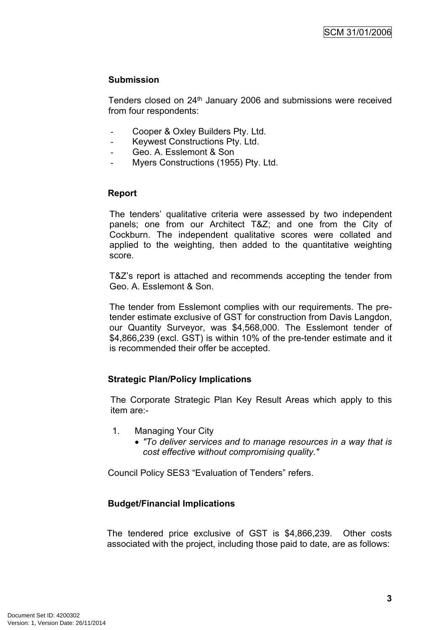# **Submission**

Tenders closed on 24th January 2006 and submissions were received from four respondents:

- Cooper & Oxley Builders Pty. Ltd.
- Keywest Constructions Pty. Ltd.
- Geo. A. Esslemont & Son
- Myers Constructions (1955) Pty. Ltd.

# **Report**

The tenders' qualitative criteria were assessed by two independent panels; one from our Architect T&Z; and one from the City of Cockburn. The independent qualitative scores were collated and applied to the weighting, then added to the quantitative weighting score.

T&Z's report is attached and recommends accepting the tender from Geo. A. Esslemont & Son.

The tender from Esslemont complies with our requirements. The pretender estimate exclusive of GST for construction from Davis Langdon, our Quantity Surveyor, was \$4,568,000. The Esslemont tender of \$4,866,239 (excl. GST) is within 10% of the pre-tender estimate and it is recommended their offer be accepted.

# **Strategic Plan/Policy Implications**

The Corporate Strategic Plan Key Result Areas which apply to this item are:-

- 1. Managing Your City
	- *"To deliver services and to manage resources in a way that is cost effective without compromising quality."*

Council Policy SES3 "Evaluation of Tenders" refers.

# **Budget/Financial Implications**

The tendered price exclusive of GST is \$4,866,239. Other costs associated with the project, including those paid to date, are as follows: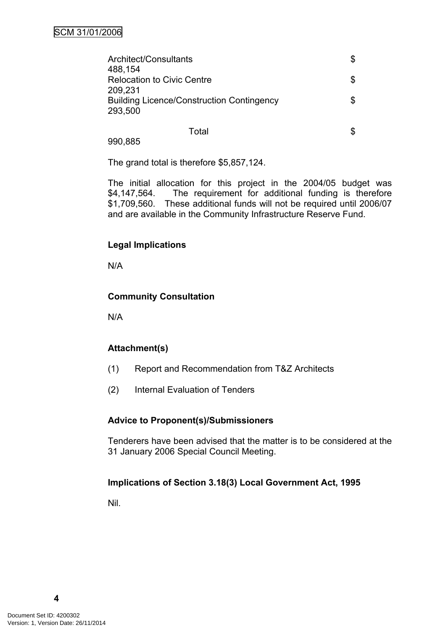| Architect/Consultants                            |  |
|--------------------------------------------------|--|
| 488,154                                          |  |
| <b>Relocation to Civic Centre</b>                |  |
| 209,231                                          |  |
| <b>Building Licence/Construction Contingency</b> |  |
| 293,500                                          |  |
|                                                  |  |

990,885

The grand total is therefore \$5,857,124.

The initial allocation for this project in the 2004/05 budget was \$4,147,564. The requirement for additional funding is therefore \$1,709,560. These additional funds will not be required until 2006/07 and are available in the Community Infrastructure Reserve Fund.

Total **\$** 

# **Legal Implications**

N/A

### **Community Consultation**

N/A

# **Attachment(s)**

- (1) Report and Recommendation from T&Z Architects
- (2) Internal Evaluation of Tenders

### **Advice to Proponent(s)/Submissioners**

Tenderers have been advised that the matter is to be considered at the 31 January 2006 Special Council Meeting.

### **Implications of Section 3.18(3) Local Government Act, 1995**

Nil.